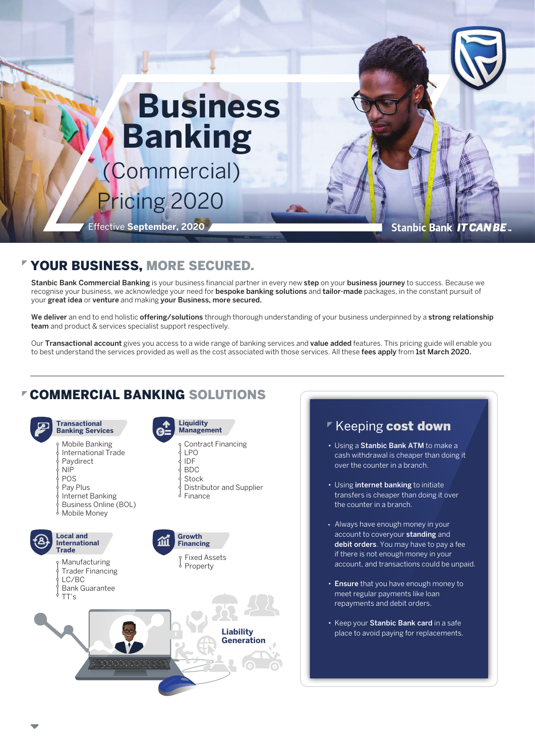# **Business Banking** (Commercial) Pricing 2020

Effective **September, 2020**

**Stanbic Bank IT CAN BE.** 

### YOUR BUSINESS, MORE SECURED.

Stanbic Bank Commercial Banking is your business financial partner in every new step on your business journey to success. Because we recognise your business, we acknowledge your need for bespoke banking solutions and tailor-made packages, in the constant pursuit of your great idea or venture and making your Business, more secured.

We deliver an end to end holistic offering/solutions through thorough understanding of your business underpinned by a strong relationship team and product & services specialist support respectively.

Our Transactional account gives you access to a wide range of banking services and value added features. This pricing guide will enable you to best understand the services provided as well as the cost associated with those services. All these fees apply from 1st March 2020.

# COMMERCIAL BANKING SOLUTIONS





- Using a Stanbic Bank ATM to make a cash withdrawal is cheaper than doing it over the counter in a branch.
- Using internet banking to initiate transfers is cheaper than doing it over the counter in a branch.
- Always have enough money in your account to coveryour standing and debit orders. You may have to pay a fee if there is not enough money in your account, and transactions could be unpaid.
- Ensure that you have enough money to meet regular payments like loan repayments and debit orders.
- Keep your Stanbic Bank card in a safe place to avoid paying for replacements.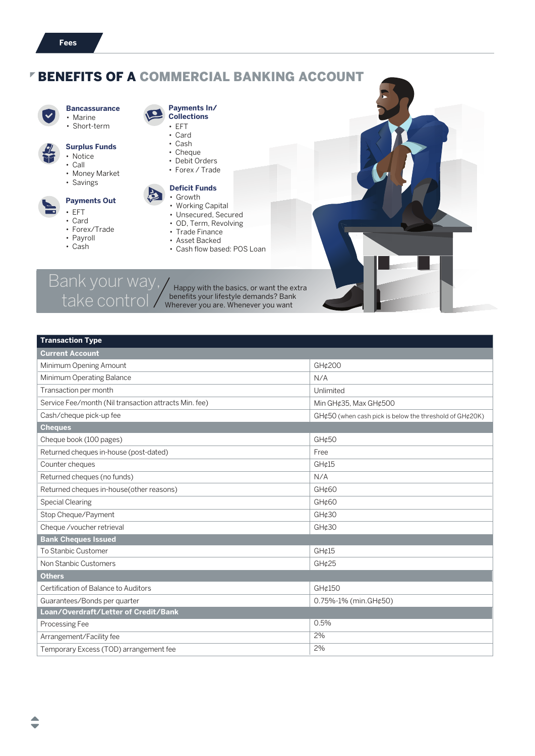# BENEFITS OF A COMMERCIAL BANKING ACCOUNT



#### • Marine **Bancassurance**

• Short-term

# **Surplus Funds**

- Notice
- Call
	- Money Market
	- Savings

### **Payments Out**

- EFT
	- Card
	- Forex/Trade
	- Payroll
	- Cash

**Payments In/ Collections**

- EFT • Card
- Cash
- Cheque
- Debit Orders
- Forex / Trade

### **Deficit Funds**

- Growth
	- Working Capital
	- Unsecured, Secured • OD, Term, Revolving
	- Trade Finance
	- Asset Backed
	- Cash flow based: POS Loan

Bank your way,

take control / benefits your lifestyle demands? Ban<br>want Happy with the basics, or want the extra benefits your lifestyle demands? Bank

| <b>Transaction Type</b>                               |                                                                                 |  |
|-------------------------------------------------------|---------------------------------------------------------------------------------|--|
| <b>Current Account</b>                                |                                                                                 |  |
| Minimum Opening Amount                                | GH¢200                                                                          |  |
| Minimum Operating Balance                             | N/A                                                                             |  |
| Transaction per month                                 | Unlimited                                                                       |  |
| Service Fee/month (Nil transaction attracts Min. fee) | Min GH¢35, Max GH¢500                                                           |  |
| Cash/cheque pick-up fee                               | $GH$ $\epsilon$ 50 (when cash pick is below the threshold of GH $\epsilon$ 20K) |  |
| <b>Cheques</b>                                        |                                                                                 |  |
| Cheque book (100 pages)                               | GH¢50                                                                           |  |
| Returned cheques in-house (post-dated)                | Free                                                                            |  |
| Counter cheques                                       | GH¢15                                                                           |  |
| Returned cheques (no funds)                           | N/A                                                                             |  |
| Returned cheques in-house(other reasons)              | GH¢60                                                                           |  |
| <b>Special Clearing</b>                               | GH¢60                                                                           |  |
| Stop Cheque/Payment                                   | GH¢30                                                                           |  |
| Cheque /voucher retrieval                             | GH¢30                                                                           |  |
| <b>Bank Cheques Issued</b>                            |                                                                                 |  |
| To Stanbic Customer                                   | GH¢15                                                                           |  |
| Non Stanbic Customers                                 | GH¢25                                                                           |  |
| <b>Others</b>                                         |                                                                                 |  |
| Certification of Balance to Auditors                  | GH¢150                                                                          |  |
| Guarantees/Bonds per quarter                          | $0.75\% - 1\%$ (min. GH¢50)                                                     |  |
| Loan/Overdraft/Letter of Credit/Bank                  |                                                                                 |  |
| Processing Fee                                        | 0.5%                                                                            |  |
| Arrangement/Facility fee                              | 2%                                                                              |  |
| Temporary Excess (TOD) arrangement fee                | 2%                                                                              |  |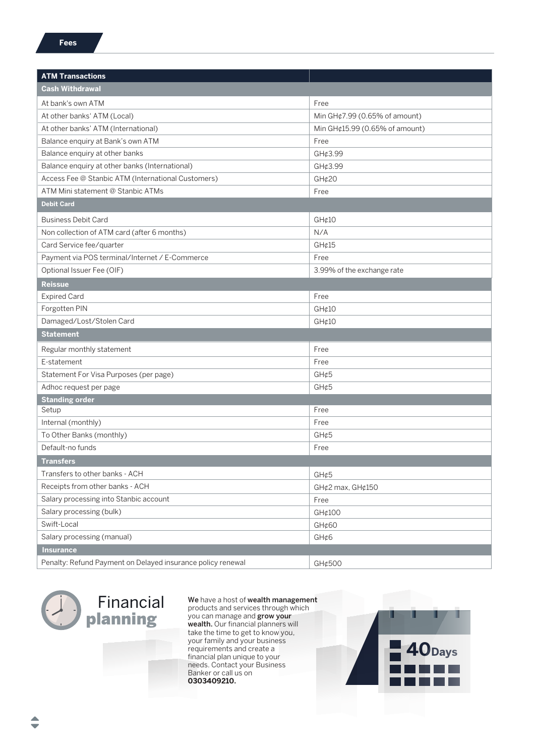| <b>ATM Transactions</b>                                     |                                                                 |  |
|-------------------------------------------------------------|-----------------------------------------------------------------|--|
| <b>Cash Withdrawal</b>                                      |                                                                 |  |
| At bank's own ATM                                           |                                                                 |  |
| At other banks' ATM (Local)                                 | Free                                                            |  |
| At other banks' ATM (International)                         | Min GH¢7.99 (0.65% of amount)<br>Min GH¢15.99 (0.65% of amount) |  |
| Balance enquiry at Bank's own ATM                           | Free                                                            |  |
| Balance enquiry at other banks                              | GH¢3.99                                                         |  |
| Balance enquiry at other banks (International)              | GH¢3.99                                                         |  |
| Access Fee @ Stanbic ATM (International Customers)          | GH¢20                                                           |  |
| ATM Mini statement @ Stanbic ATMs                           | Free                                                            |  |
| <b>Debit Card</b>                                           |                                                                 |  |
|                                                             |                                                                 |  |
| <b>Business Debit Card</b>                                  | GH@10                                                           |  |
| Non collection of ATM card (after 6 months)                 | N/A                                                             |  |
| Card Service fee/quarter                                    | GH¢15                                                           |  |
| Payment via POS terminal/Internet / E-Commerce              | Free                                                            |  |
| Optional Issuer Fee (OIF)                                   | 3.99% of the exchange rate                                      |  |
| <b>Reissue</b>                                              |                                                                 |  |
| <b>Expired Card</b>                                         | Free                                                            |  |
| Forgotten PIN                                               | GH¢10                                                           |  |
| Damaged/Lost/Stolen Card                                    | GH@10                                                           |  |
| <b>Statement</b>                                            |                                                                 |  |
| Regular monthly statement                                   | Free                                                            |  |
| E-statement                                                 | Free                                                            |  |
| Statement For Visa Purposes (per page)                      | GH¢5                                                            |  |
| Adhoc request per page                                      | GH¢5                                                            |  |
| <b>Standing order</b>                                       |                                                                 |  |
| Setup                                                       | Free                                                            |  |
| Internal (monthly)                                          | Free                                                            |  |
| To Other Banks (monthly)                                    | GH¢5                                                            |  |
| Default-no funds                                            | Free                                                            |  |
| <b>Transfers</b>                                            |                                                                 |  |
| Transfers to other banks - ACH                              | GH¢5                                                            |  |
| Receipts from other banks - ACH                             | GH¢2 max, GH¢150                                                |  |
| Salary processing into Stanbic account                      | Free                                                            |  |
| Salary processing (bulk)                                    | GH¢100                                                          |  |
| Swift-Local                                                 | GH¢60                                                           |  |
| Salary processing (manual)                                  | GH¢6                                                            |  |
| <b>Insurance</b>                                            |                                                                 |  |
| Penalty: Refund Payment on Delayed insurance policy renewal | GH¢500                                                          |  |



We have a host of wealth management products and services through which you can manage and grow your wealth. Our financial planners will take the time to get to know you, your family and your business requirements and create a financial plan unique to your needs. Contact your Business Banker or call us on **0303409210.**